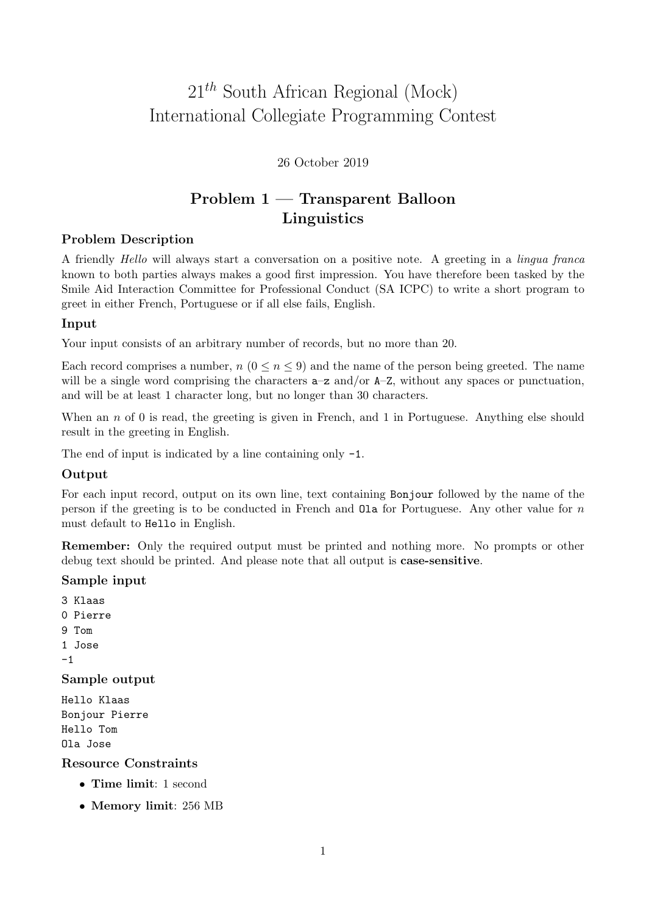# 21*th* South African Regional (Mock) International Collegiate Programming Contest

### 26 October 2019

# Problem 1 — Transparent Balloon Linguistics

### Problem Description

A friendly *Hello* will always start a conversation on a positive note. A greeting in a *lingua franca* known to both parties always makes a good first impression. You have therefore been tasked by the Smile Aid Interaction Committee for Professional Conduct (SA ICPC) to write a short program to greet in either French, Portuguese or if all else fails, English.

### Input

Your input consists of an arbitrary number of records, but no more than 20.

Each record comprises a number,  $n (0 \le n \le 9)$  and the name of the person being greeted. The name will be a single word comprising the characters  $a-z$  and/or  $A-Z$ , without any spaces or punctuation, and will be at least 1 character long, but no longer than 30 characters.

When an *n* of 0 is read, the greeting is given in French, and 1 in Portuguese. Anything else should result in the greeting in English.

The end of input is indicated by a line containing only -1.

## **Output**

For each input record, output on its own line, text containing Bonjour followed by the name of the person if the greeting is to be conducted in French and Ola for Portuguese. Any other value for *n* must default to Hello in English.

Remember: Only the required output must be printed and nothing more. No prompts or other debug text should be printed. And please note that all output is case-sensitive.

#### Sample input

3 Klaas 0 Pierre 9 Tom 1 Jose -1 Sample output Hello Klaas Bonjour Pierre Hello Tom Ola Jose

Resource Constraints

- *•* Time limit: 1 second
- *•* Memory limit: 256 MB